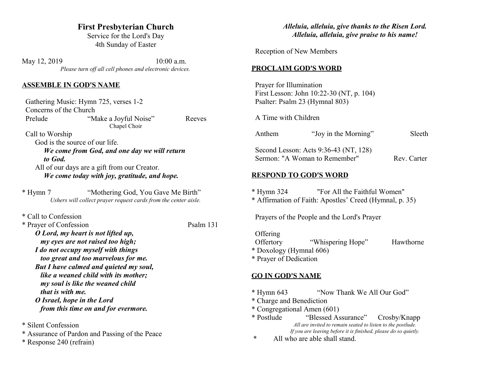## **First Presbyterian Church**

Service for the Lord's Day 4th Sunday of Easter

May 12, 2019 10:00 a.m. *Please turn off all cell phones and electronic devices.*

#### **ASSEMBLE IN GOD'S NAME**

|                 | Gathering Music: Hymn 725, verses 1-2                           |        |
|-----------------|-----------------------------------------------------------------|--------|
|                 | Concerns of the Church                                          |        |
| Prelude         | "Make a Joyful Noise"                                           | Reeves |
|                 | Chapel Choir                                                    |        |
| Call to Worship |                                                                 |        |
|                 | God is the source of our life.                                  |        |
|                 | We come from God, and one day we will return                    |        |
| to God.         |                                                                 |        |
|                 | All of our days are a gift from our Creator.                    |        |
|                 | We come today with joy, gratitude, and hope.                    |        |
| * Hymn 7        | "Mothering God, You Gave Me Birth"                              |        |
|                 | Ushers will collect prayer request cards from the center aisle. |        |

\* Call to Confession

| * Prayer of Confession                 | Psalm 131 |
|----------------------------------------|-----------|
| O Lord, my heart is not lifted up,     |           |
| my eyes are not raised too high;       |           |
| I do not occupy myself with things     |           |
| too great and too marvelous for me.    |           |
| But I have calmed and quieted my soul, |           |
| like a weaned child with its mother;   |           |
| my soul is like the weaned child       |           |
| that is with me.                       |           |
| O Israel, hope in the Lord             |           |
| from this time on and for evermore.    |           |

- \* Silent Confession
- \* Assurance of Pardon and Passing of the Peace
- \* Response 240 (refrain)

### *Alleluia, alleluia, give thanks to the Risen Lord. Alleluia, alleluia, give praise to his name!*

Reception of New Members

### **PROCLAIM GOD'S WORD**

 Prayer for Illumination First Lesson: John 10:22-30 (NT, p. 104) Psalter: Psalm 23 (Hymnal 803)

A Time with Children

| Anthem     | "Joy in the Morning"                                                                    | Sleeth      |
|------------|-----------------------------------------------------------------------------------------|-------------|
|            | Second Lesson: Acts 9:36-43 (NT, 128)<br>Sermon: "A Woman to Remember"                  | Rev. Carter |
|            | <b>RESPOND TO GOD'S WORD</b>                                                            |             |
| * Hymn 324 | "For All the Faithful Women"<br>* Affirmation of Faith: Apostles' Creed (Hymnal, p. 35) |             |

Prayers of the People and the Lord's Prayer

**Offering** Offertory "Whispering Hope" Hawthorne

\* Doxology (Hymnal 606)

\* Prayer of Dedication

### **GO IN GOD'S NAME**

- \* Hymn 643 "Now Thank We All Our God"
- \* Charge and Benediction
- \* Congregational Amen (601)
- "Blessed Assurance" Crosby/Knapp *All are invited to remain seated to listen to the postlude. If you are leaving before it is finished, please do so quietly.*
- \* All who are able shall stand.